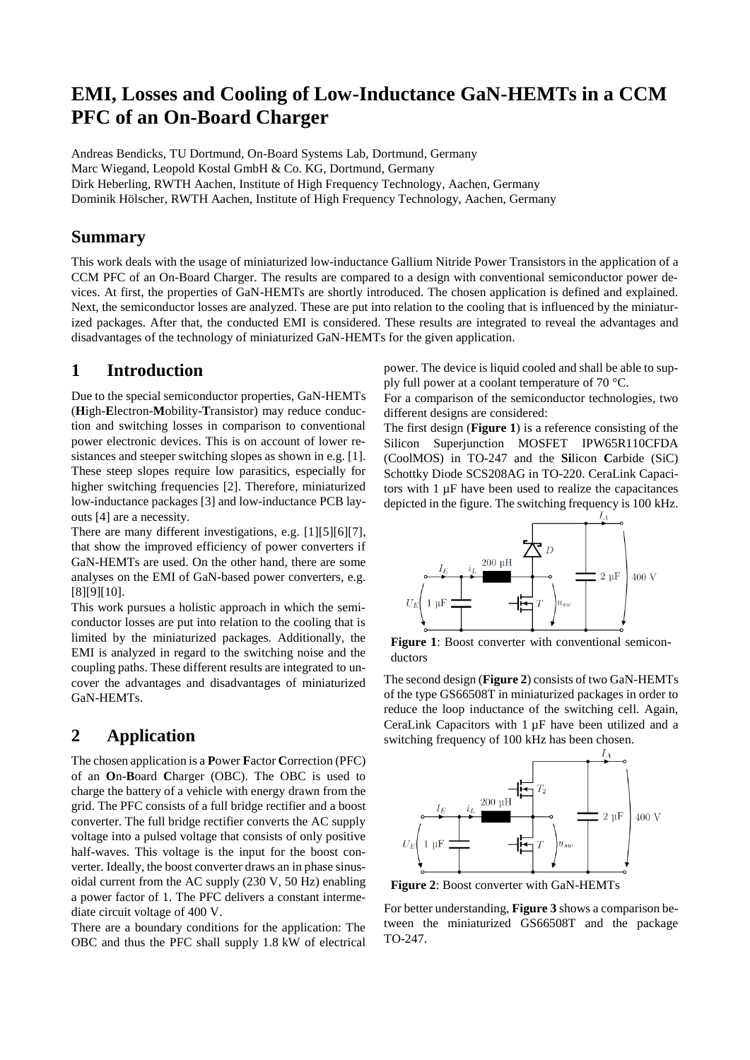# **EMI, Losses and Cooling of Low-Inductance GaN-HEMTs in a CCM PFC of an On-Board Charger**

Andreas Bendicks, TU Dortmund, On-Board Systems Lab, Dortmund, Germany

Marc Wiegand, Leopold Kostal GmbH & Co. KG, Dortmund, Germany

Dirk Heberling, RWTH Aachen, Institute of High Frequency Technology, Aachen, Germany

Dominik Hölscher, RWTH Aachen, Institute of High Frequency Technology, Aachen, Germany

### **Summary**

This work deals with the usage of miniaturized low-inductance Gallium Nitride Power Transistors in the application of a CCM PFC of an On-Board Charger. The results are compared to a design with conventional semiconductor power devices. At first, the properties of GaN-HEMTs are shortly introduced. The chosen application is defined and explained. Next, the semiconductor losses are analyzed. These are put into relation to the cooling that is influenced by the miniaturized packages. After that, the conducted EMI is considered. These results are integrated to reveal the advantages and disadvantages of the technology of miniaturized GaN-HEMTs for the given application.

### **1 Introduction**

Due to the special semiconductor properties, GaN-HEMTs (**H**igh-**E**lectron-**M**obility-**T**ransistor) may reduce conduction and switching losses in comparison to conventional power electronic devices. This is on account of lower resistances and steeper switching slopes as shown in e.g. [1]. These steep slopes require low parasitics, especially for higher switching frequencies [2]. Therefore, miniaturized low-inductance packages [3] and low-inductance PCB layouts [4] are a necessity.

There are many different investigations, e.g. [1][5][6][7], that show the improved efficiency of power converters if GaN-HEMTs are used. On the other hand, there are some analyses on the EMI of GaN-based power converters, e.g. [8][9][10].

This work pursues a holistic approach in which the semiconductor losses are put into relation to the cooling that is limited by the miniaturized packages. Additionally, the EMI is analyzed in regard to the switching noise and the coupling paths. These different results are integrated to uncover the advantages and disadvantages of miniaturized GaN-HEMTs.

# **2 Application**

The chosen application is a **P**ower **F**actor **C**orrection (PFC) of an **O**n-**B**oard **C**harger (OBC). The OBC is used to charge the battery of a vehicle with energy drawn from the grid. The PFC consists of a full bridge rectifier and a boost converter. The full bridge rectifier converts the AC supply voltage into a pulsed voltage that consists of only positive half-waves. This voltage is the input for the boost converter. Ideally, the boost converter draws an in phase sinusoidal current from the AC supply (230 V, 50 Hz) enabling a power factor of 1. The PFC delivers a constant intermediate circuit voltage of 400 V.

There are a boundary conditions for the application: The OBC and thus the PFC shall supply 1.8 kW of electrical power. The device is liquid cooled and shall be able to supply full power at a coolant temperature of 70 °C.

For a comparison of the semiconductor technologies, two different designs are considered:

The first design (**[Figure 1](#page-0-0)**) is a reference consisting of the Silicon Superjunction MOSFET IPW65R110CFDA (CoolMOS) in TO-247 and the **Si**licon **C**arbide (SiC) Schottky Diode SCS208AG in TO-220. CeraLink Capacitors with 1 µF have been used to realize the capacitances depicted in the figure. The switching frequency is 100 kHz.



<span id="page-0-0"></span>**Figure 1**: Boost converter with conventional semiconductors

The second design (**[Figure 2](#page-0-1)**) consists of two GaN-HEMTs of the type GS66508T in miniaturized packages in order to reduce the loop inductance of the switching cell. Again, CeraLink Capacitors with 1 µF have been utilized and a switching frequency of 100 kHz has been chosen.



<span id="page-0-1"></span>**Figure 2**: Boost converter with GaN-HEMTs

For better understanding, **[Figure 3](#page-1-0)** shows a comparison between the miniaturized GS66508T and the package TO-247.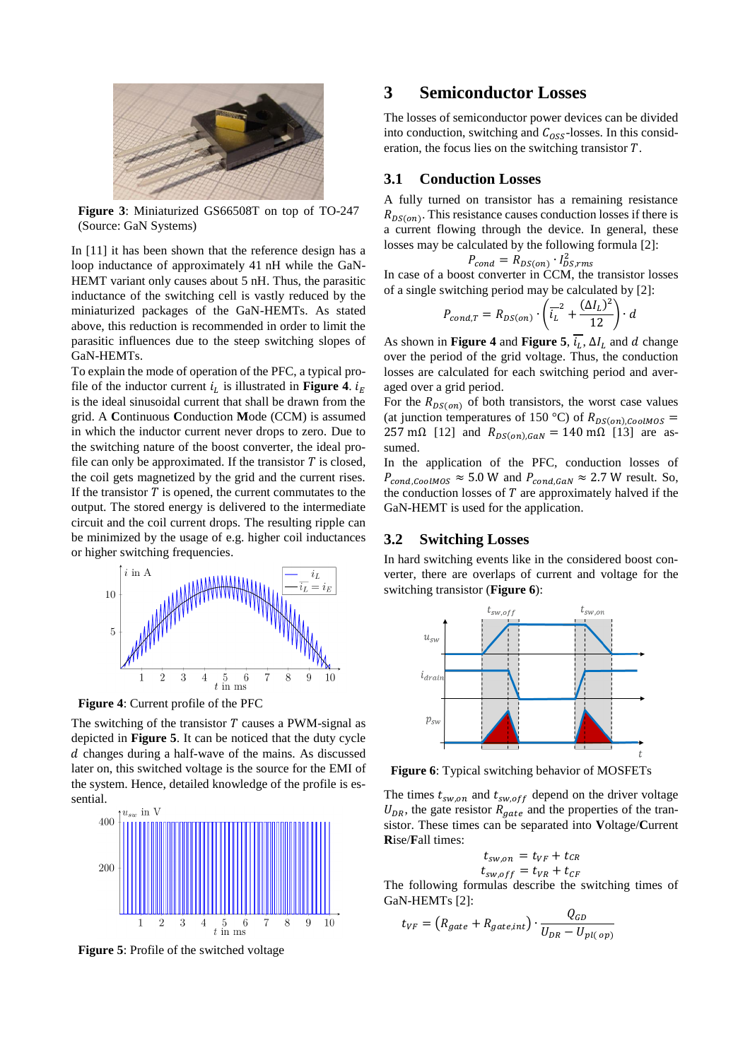

**Figure 3**: Miniaturized GS66508T on top of TO-247 (Source: GaN Systems)

<span id="page-1-0"></span>In [11] it has been shown that the reference design has a loop inductance of approximately 41 nH while the GaN-HEMT variant only causes about 5 nH. Thus, the parasitic inductance of the switching cell is vastly reduced by the miniaturized packages of the GaN-HEMTs. As stated above, this reduction is recommended in order to limit the parasitic influences due to the steep switching slopes of GaN-HEMTs.

To explain the mode of operation of the PFC, a typical profile of the inductor current  $i_L$  is illustrated in **[Figure 4](#page-1-1)**.  $i_E$ is the ideal sinusoidal current that shall be drawn from the grid. A **C**ontinuous **C**onduction **M**ode (CCM) is assumed in which the inductor current never drops to zero. Due to the switching nature of the boost converter, the ideal profile can only be approximated. If the transistor  $T$  is closed, the coil gets magnetized by the grid and the current rises. If the transistor  $T$  is opened, the current commutates to the output. The stored energy is delivered to the intermediate circuit and the coil current drops. The resulting ripple can be minimized by the usage of e.g. higher coil inductances or higher switching frequencies.



<span id="page-1-1"></span>**Figure 4**: Current profile of the PFC

The switching of the transistor  $T$  causes a PWM-signal as depicted in **[Figure 5](#page-1-2)**. It can be noticed that the duty cycle  $d$  changes during a half-wave of the mains. As discussed later on, this switched voltage is the source for the EMI of the system. Hence, detailed knowledge of the profile is essential.



<span id="page-1-2"></span>**Figure 5**: Profile of the switched voltage

## **3 Semiconductor Losses**

The losses of semiconductor power devices can be divided into conduction, switching and  $C_{\alpha s}$ -losses. In this consideration, the focus lies on the switching transistor  $T$ .

#### **3.1 Conduction Losses**

A fully turned on transistor has a remaining resistance  $R_{DS(on)}$ . This resistance causes conduction losses if there is a current flowing through the device. In general, these losses may be calculated by the following formula [2]:

$$
P_{cond} = R_{DS(on)} \cdot I_{DS,rms}^2
$$

In case of a boost converter in CCM, the transistor losses of a single switching period may be calculated by [2]:

$$
P_{cond,T} = R_{DS(on)} \cdot \left(\overline{i_L}^2 + \frac{(\Delta I_L)^2}{12}\right) \cdot d
$$

As shown in **[Figure 4](#page-1-1)** and **[Figure 5](#page-1-2)**,  $i_L$ ,  $\Delta I_L$  and  $d$  change over the period of the grid voltage. Thus, the conduction losses are calculated for each switching period and averaged over a grid period.

For the  $R_{DS(on)}$  of both transistors, the worst case values (at junction temperatures of 150 °C) of  $R_{DS(on), coolMOS}$  = 257 m $\Omega$  [12] and  $R_{DS(on), GaN} = 140$  m $\Omega$  [13] are assumed.

In the application of the PFC, conduction losses of  $P_{cond, CoolMOS} \approx 5.0 \text{ W}$  and  $P_{cond, GaN} \approx 2.7 \text{ W}$  result. So, the conduction losses of  $T$  are approximately halved if the GaN-HEMT is used for the application.

#### **3.2 Switching Losses**

In hard switching events like in the considered boost converter, there are overlaps of current and voltage for the switching transistor (**[Figure 6](#page-1-3)**):



<span id="page-1-3"></span>**Figure 6**: Typical switching behavior of MOSFETs

The times  $t_{sw,on}$  and  $t_{sw,off}$  depend on the driver voltage  $U_{DR}$ , the gate resistor  $R_{gate}$  and the properties of the transistor. These times can be separated into **V**oltage/**C**urrent **R**ise/**F**all times:

$$
t_{sw,on} = t_{VF} + t_{CR}
$$

$$
t_{sw,off} = t_{VR} + t_{CF}
$$

The following formulas describe the switching times of GaN-HEMTs [2]:

$$
t_{VF} = (R_{gate} + R_{gate, int}) \cdot \frac{Q_{GD}}{U_{DR} - U_{pl(op)}}
$$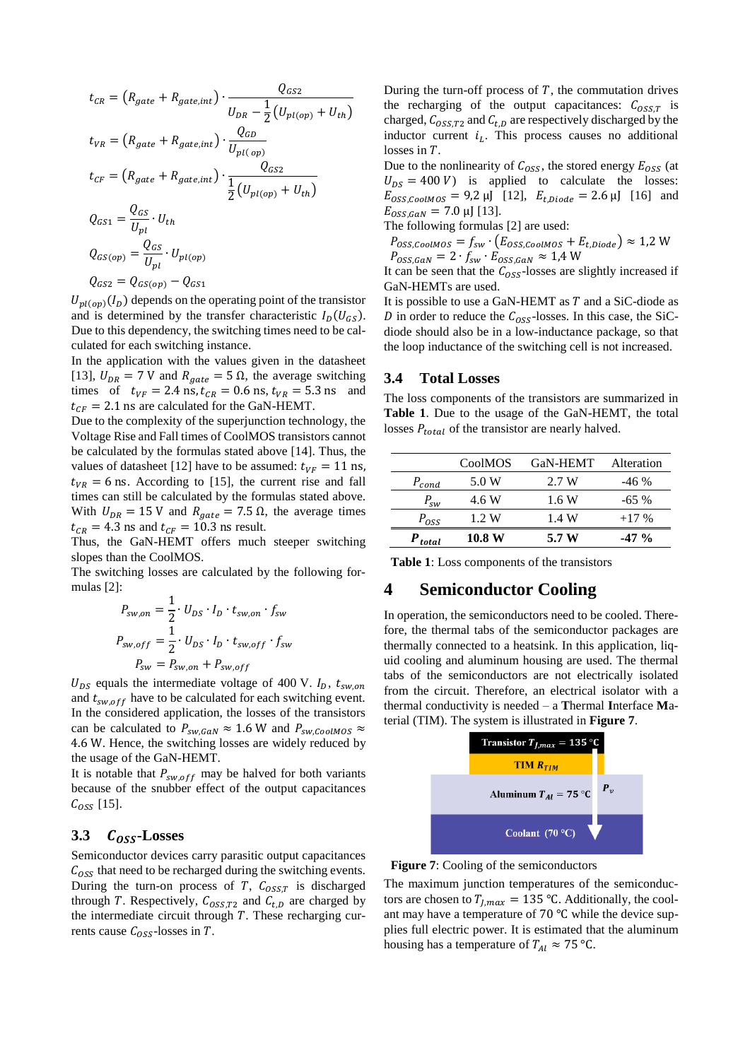$$
t_{CR} = (R_{gate} + R_{gate, int}) \cdot \frac{Q_{GS2}}{U_{DR} - \frac{1}{2} (U_{pl(op)} + U_{th})}
$$
  
\n
$$
t_{VR} = (R_{gate} + R_{gate, int}) \cdot \frac{Q_{GD}}{U_{pl(op)}}
$$
  
\n
$$
t_{CF} = (R_{gate} + R_{gate, int}) \cdot \frac{Q_{GS2}}{\frac{1}{2} (U_{pl(op)} + U_{th})}
$$
  
\n
$$
Q_{GS1} = \frac{Q_{GS}}{U_{pl}} \cdot U_{th}
$$
  
\n
$$
Q_{GS(op)} = \frac{Q_{GS}}{U_{pl}} \cdot U_{pl(op)}
$$
  
\n
$$
Q_{GS2} = Q_{GS(op)} - Q_{GS1}
$$

 $U_{pl(op)}(I_D)$  depends on the operating point of the transistor and is determined by the transfer characteristic  $I_D(U_{GS})$ . Due to this dependency, the switching times need to be calculated for each switching instance.

In the application with the values given in the datasheet [13],  $U_{DR} = 7$  V and  $R_{gate} = 5 \Omega$ , the average switching times of  $t_{VF} = 2.4$  ns,  $t_{CR} = 0.6$  ns,  $t_{VR} = 5.3$  ns and  $t_{CF} = 2.1$  ns are calculated for the GaN-HEMT.

Due to the complexity of the superjunction technology, the Voltage Rise and Fall times of CoolMOS transistors cannot be calculated by the formulas stated above [14]. Thus, the values of datasheet [12] have to be assumed:  $t_{VF} = 11$  ns,  $t_{VR} = 6$  ns. According to [15], the current rise and fall times can still be calculated by the formulas stated above. With  $U_{DR} = 15$  V and  $R_{gate} = 7.5 \Omega$ , the average times  $t_{CR} = 4.3$  ns and  $t_{CF} = 10.3$  ns result.

Thus, the GaN-HEMT offers much steeper switching slopes than the CoolMOS.

The switching losses are calculated by the following formulas [2]:

$$
P_{sw,on} = \frac{1}{2} \cdot U_{DS} \cdot I_D \cdot t_{sw,on} \cdot f_{sw}
$$

$$
P_{sw,off} = \frac{1}{2} \cdot U_{DS} \cdot I_D \cdot t_{sw,off} \cdot f_{sw}
$$

$$
P_{sw} = P_{sw,on} + P_{sw,off}
$$

 $U_{DS}$  equals the intermediate voltage of 400 V.  $I_D$ ,  $t_{sw,on}$ and  $t_{sw,off}$  have to be calculated for each switching event. In the considered application, the losses of the transistors can be calculated to  $P_{sw,GaN} \approx 1.6$  W and  $P_{sw,CoolMOS} \approx$ 4.6 W. Hence, the switching losses are widely reduced by the usage of the GaN-HEMT.

It is notable that  $P_{sw, off}$  may be halved for both variants because of the snubber effect of the output capacitances  $C_{OSS}$  [15].

### 3.3  $C_{OS}$ -Losses

Semiconductor devices carry parasitic output capacitances  $C_{0SS}$  that need to be recharged during the switching events. During the turn-on process of T,  $C_{OSS,T}$  is discharged through T. Respectively,  $C_{OSS,T2}$  and  $C_{t,D}$  are charged by the intermediate circuit through  $T$ . These recharging currents cause  $C_{OSS}$ -losses in T.

During the turn-off process of  $T$ , the commutation drives the recharging of the output capacitances:  $C_{\alpha s s \tau}$  is charged,  $C_{OSS,T2}$  and  $C_{t,D}$  are respectively discharged by the inductor current  $i_L$ . This process causes no additional losses in  $T$ .

Due to the nonlinearity of  $C_{OSS}$ , the stored energy  $E_{OSS}$  (at  $U_{DS} = 400 V$  is applied to calculate the losses:  $E_{OSS, CoolMOS} = 9.2 \mu J$  [12],  $E_{t, Diode} = 2.6 \mu J$  [16] and  $E_{OSS, GaN} = 7.0 \,\mu J$  [13].

The following formulas [2] are used:

 $P_{OSS, CoolMOS} = f_{sw} \cdot (E_{OSS, CoolMOS} + E_{t, Diode}) \approx 1.2 \text{ W}$  $P_{OSS,GaN} = 2 \cdot f_{sw} \cdot E_{OSS,GaN} \approx 1.4 \text{ W}$ 

It can be seen that the  $C_{OSS}$ -losses are slightly increased if GaN-HEMTs are used.

It is possible to use a GaN-HEMT as  $T$  and a SiC-diode as D in order to reduce the  $C_{OSS}$ -losses. In this case, the SiCdiode should also be in a low-inductance package, so that the loop inductance of the switching cell is not increased.

#### **3.4 Total Losses**

The loss components of the transistors are summarized in **[Table 1](#page-2-0)**. Due to the usage of the GaN-HEMT, the total losses  $P_{total}$  of the transistor are nearly halved.

|             | CoolMOS | <b>GaN-HEMT</b> | Alteration |
|-------------|---------|-----------------|------------|
| $P_{cond}$  | 5.0 W   | 2.7 W           | $-46\%$    |
| $P_{SW}$    | 4.6 W   | 1.6 W           | $-65\%$    |
| $P_{OSS}$   | 1.2 W   | 1.4 W           | $+17%$     |
| $P_{total}$ | 10.8 W  | 5.7 W           | $-47\%$    |

<span id="page-2-0"></span>**Table 1**: Loss components of the transistors

### **4 Semiconductor Cooling**

In operation, the semiconductors need to be cooled. Therefore, the thermal tabs of the semiconductor packages are thermally connected to a heatsink. In this application, liquid cooling and aluminum housing are used. The thermal tabs of the semiconductors are not electrically isolated from the circuit. Therefore, an electrical isolator with a thermal conductivity is needed – a **T**hermal **I**nterface **M**aterial (TIM). The system is illustrated in **[Figure 7](#page-2-1)**.



<span id="page-2-1"></span>**Figure 7**: Cooling of the semiconductors

The maximum junction temperatures of the semiconductors are chosen to  $T_{J,max} = 135$  °C. Additionally, the coolant may have a temperature of 70 °C while the device supplies full electric power. It is estimated that the aluminum housing has a temperature of  $T_{Al} \approx 75$  °C.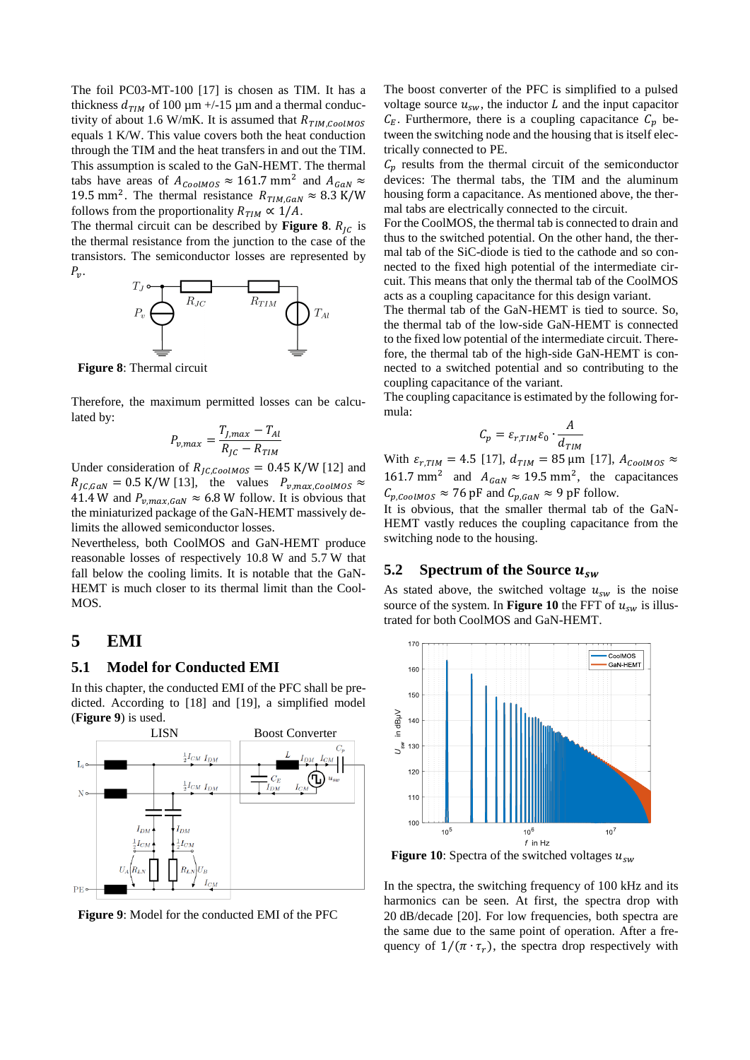The foil PC03-MT-100 [17] is chosen as TIM. It has a thickness  $d_{\text{TIM}}$  of 100  $\mu$ m +/-15  $\mu$ m and a thermal conductivity of about 1.6 W/mK. It is assumed that  $R_{\text{TIM:} CoolMOS}$ equals 1 K/W. This value covers both the heat conduction through the TIM and the heat transfers in and out the TIM. This assumption is scaled to the GaN-HEMT. The thermal tabs have areas of  $A_{\text{coolMOS}} \approx 161.7 \text{ mm}^2$  and  $A_{\text{GAN}} \approx$ 19.5 mm<sup>2</sup>. The thermal resistance  $R_{\text{TIM,GaN}} \approx 8.3 \text{ K/W}$ follows from the proportionality  $R_{TIM} \propto 1/A$ .

The thermal circuit can be described by **[Figure 8](#page-3-0)**.  $R_{1C}$  is the thermal resistance from the junction to the case of the transistors. The semiconductor losses are represented by  $P_{v}$ .



<span id="page-3-0"></span>**Figure 8**: Thermal circuit

Therefore, the maximum permitted losses can be calculated by:

$$
P_{v,max} = \frac{T_{J,max} - T_{Al}}{R_{JC} - R_{TIM}}
$$

Under consideration of  $R_{IC, CoolMOS} = 0.45$  K/W [12] and  $R_{IC, GaN} = 0.5 \text{ K/W}$  [13], the values  $P_{v, max, CoolMOS} \approx$ 41.4 W and  $P_{v, max, GaN} \approx 6.8$  W follow. It is obvious that the miniaturized package of the GaN-HEMT massively delimits the allowed semiconductor losses.

Nevertheless, both CoolMOS and GaN-HEMT produce reasonable losses of respectively 10.8 W and 5.7 W that fall below the cooling limits. It is notable that the GaN-HEMT is much closer to its thermal limit than the Cool-MOS.

### **5 EMI**

#### **5.1 Model for Conducted EMI**

In this chapter, the conducted EMI of the PFC shall be predicted. According to [18] and [19], a simplified model (**[Figure 9](#page-3-1)**) is used.



<span id="page-3-1"></span>**Figure 9**: Model for the conducted EMI of the PFC

The boost converter of the PFC is simplified to a pulsed voltage source  $u_{sw}$ , the inductor L and the input capacitor  $C_E$ . Furthermore, there is a coupling capacitance  $C_p$  between the switching node and the housing that is itself electrically connected to PE.

 $C_n$  results from the thermal circuit of the semiconductor devices: The thermal tabs, the TIM and the aluminum housing form a capacitance. As mentioned above, the thermal tabs are electrically connected to the circuit.

For the CoolMOS, the thermal tab is connected to drain and thus to the switched potential. On the other hand, the thermal tab of the SiC-diode is tied to the cathode and so connected to the fixed high potential of the intermediate circuit. This means that only the thermal tab of the CoolMOS acts as a coupling capacitance for this design variant.

The thermal tab of the GaN-HEMT is tied to source. So, the thermal tab of the low-side GaN-HEMT is connected to the fixed low potential of the intermediate circuit. Therefore, the thermal tab of the high-side GaN-HEMT is connected to a switched potential and so contributing to the coupling capacitance of the variant.

The coupling capacitance is estimated by the following formula:

$$
C_p = \varepsilon_{r, TIM}\varepsilon_0 \cdot \frac{A}{d_{TIM}}
$$

With  $\varepsilon_{r, TIM} = 4.5$  [17],  $d_{TIM} = 85 \mu m$  [17],  $A_{coolMOS} \approx$ 161.7 mm<sup>2</sup> and  $A_{GAN} \approx 19.5$  mm<sup>2</sup>, the capacitances  $C_{p, CoolMOS} \approx 76$  pF and  $C_{p,GAN} \approx 9$  pF follow.

It is obvious, that the smaller thermal tab of the GaN-HEMT vastly reduces the coupling capacitance from the switching node to the housing.

#### **5.2 Spectrum of the Source**

As stated above, the switched voltage  $u_{sw}$  is the noise source of the system. In **[Figure 10](#page-3-2)** the FFT of  $u_{sw}$  is illustrated for both CoolMOS and GaN-HEMT.



<span id="page-3-2"></span>**Figure 10:** Spectra of the switched voltages  $u_{sw}$ 

In the spectra, the switching frequency of 100 kHz and its harmonics can be seen. At first, the spectra drop with 20 dB/decade [20]. For low frequencies, both spectra are the same due to the same point of operation. After a frequency of  $1/(\pi \cdot \tau_r)$ , the spectra drop respectively with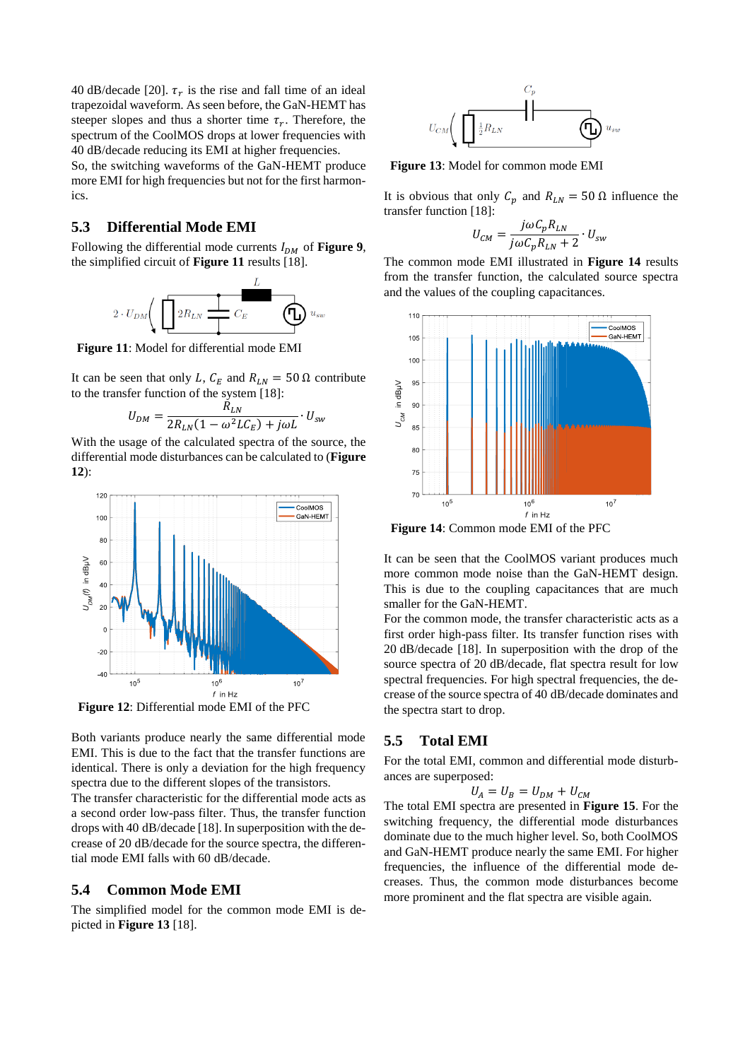40 dB/decade [20].  $\tau_r$  is the rise and fall time of an ideal trapezoidal waveform. As seen before, the GaN-HEMT has steeper slopes and thus a shorter time  $\tau_r$ . Therefore, the spectrum of the CoolMOS drops at lower frequencies with 40 dB/decade reducing its EMI at higher frequencies.

So, the switching waveforms of the GaN-HEMT produce more EMI for high frequencies but not for the first harmonics.

### **5.3 Differential Mode EMI**

Following the differential mode currents  $I_{DM}$  of **[Figure 9](#page-3-1)**, the simplified circuit of **[Figure 11](#page-4-0)** results [18].



<span id="page-4-0"></span>**Figure 11**: Model for differential mode EMI

It can be seen that only L,  $C_E$  and  $R_{LN} = 50 \Omega$  contribute to the transfer function of the system [18]:

$$
U_{DM} = \frac{\dot{R}_{LN}}{2R_{LN}(1 - \omega^2 L C_E) + j\omega L} \cdot U_{sw}
$$

With the usage of the calculated spectra of the source, the differential mode disturbances can be calculated to (**[Figure](#page-4-1)  [12](#page-4-1)**):



<span id="page-4-1"></span>**Figure 12**: Differential mode EMI of the PFC

Both variants produce nearly the same differential mode EMI. This is due to the fact that the transfer functions are identical. There is only a deviation for the high frequency spectra due to the different slopes of the transistors.

The transfer characteristic for the differential mode acts as a second order low-pass filter. Thus, the transfer function drops with 40 dB/decade [18]. In superposition with the decrease of 20 dB/decade for the source spectra, the differential mode EMI falls with 60 dB/decade.

#### **5.4 Common Mode EMI**

The simplified model for the common mode EMI is depicted in **[Figure 13](#page-4-2)** [18].



<span id="page-4-2"></span>**Figure 13**: Model for common mode EMI

It is obvious that only  $C_p$  and  $R_{LN} = 50 \Omega$  influence the transfer function [18]:

$$
U_{CM} = \frac{j\omega C_p R_{LN}}{j\omega C_p R_{LN} + 2} \cdot U_{sw}
$$

The common mode EMI illustrated in **[Figure 14](#page-4-3)** results from the transfer function, the calculated source spectra and the values of the coupling capacitances.



<span id="page-4-3"></span>**Figure 14**: Common mode EMI of the PFC

It can be seen that the CoolMOS variant produces much more common mode noise than the GaN-HEMT design. This is due to the coupling capacitances that are much smaller for the GaN-HEMT.

For the common mode, the transfer characteristic acts as a first order high-pass filter. Its transfer function rises with 20 dB/decade [18]. In superposition with the drop of the source spectra of 20 dB/decade, flat spectra result for low spectral frequencies. For high spectral frequencies, the decrease of the source spectra of 40 dB/decade dominates and the spectra start to drop.

#### **5.5 Total EMI**

For the total EMI, common and differential mode disturbances are superposed:

 $U_A = U_B = U_{DM} + U_{CM}$ 

The total EMI spectra are presented in **[Figure 15](#page-5-0)**. For the switching frequency, the differential mode disturbances dominate due to the much higher level. So, both CoolMOS and GaN-HEMT produce nearly the same EMI. For higher frequencies, the influence of the differential mode decreases. Thus, the common mode disturbances become more prominent and the flat spectra are visible again.